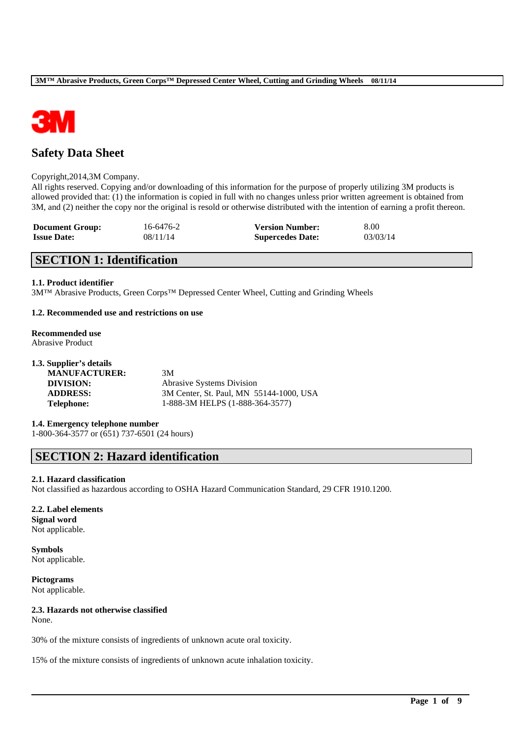

# **Safety Data Sheet**

#### Copyright,2014,3M Company.

All rights reserved. Copying and/or downloading of this information for the purpose of properly utilizing 3M products is allowed provided that: (1) the information is copied in full with no changes unless prior written agreement is obtained from 3M, and (2) neither the copy nor the original is resold or otherwise distributed with the intention of earning a profit thereon.

| <b>Document Group:</b> | 16-6476-2 | <b>Version Number:</b>  | 8.00     |
|------------------------|-----------|-------------------------|----------|
| <b>Issue Date:</b>     | 08/11/14  | <b>Supercedes Date:</b> | 03/03/14 |

# **SECTION 1: Identification**

### **1.1. Product identifier**

3M™ Abrasive Products, Green Corps™ Depressed Center Wheel, Cutting and Grinding Wheels

### **1.2. Recommended use and restrictions on use**

#### **Recommended use** Abrasive Product

| 1.3. Supplier's details |                                         |
|-------------------------|-----------------------------------------|
| <b>MANUFACTURER:</b>    | 3M                                      |
| DIVISION:               | <b>Abrasive Systems Division</b>        |
| <b>ADDRESS:</b>         | 3M Center, St. Paul, MN 55144-1000, USA |
| <b>Telephone:</b>       | 1-888-3M HELPS (1-888-364-3577)         |
|                         |                                         |

**1.4. Emergency telephone number** 1-800-364-3577 or (651) 737-6501 (24 hours)

# **SECTION 2: Hazard identification**

## **2.1. Hazard classification**

Not classified as hazardous according to OSHA Hazard Communication Standard, 29 CFR 1910.1200.

\_\_\_\_\_\_\_\_\_\_\_\_\_\_\_\_\_\_\_\_\_\_\_\_\_\_\_\_\_\_\_\_\_\_\_\_\_\_\_\_\_\_\_\_\_\_\_\_\_\_\_\_\_\_\_\_\_\_\_\_\_\_\_\_\_\_\_\_\_\_\_\_\_\_\_\_\_\_\_\_\_\_\_\_\_\_\_\_\_\_

#### **2.2. Label elements**

**Signal word** Not applicable.

**Symbols** Not applicable.

**Pictograms** Not applicable.

## **2.3. Hazards not otherwise classified**

None.

30% of the mixture consists of ingredients of unknown acute oral toxicity.

15% of the mixture consists of ingredients of unknown acute inhalation toxicity.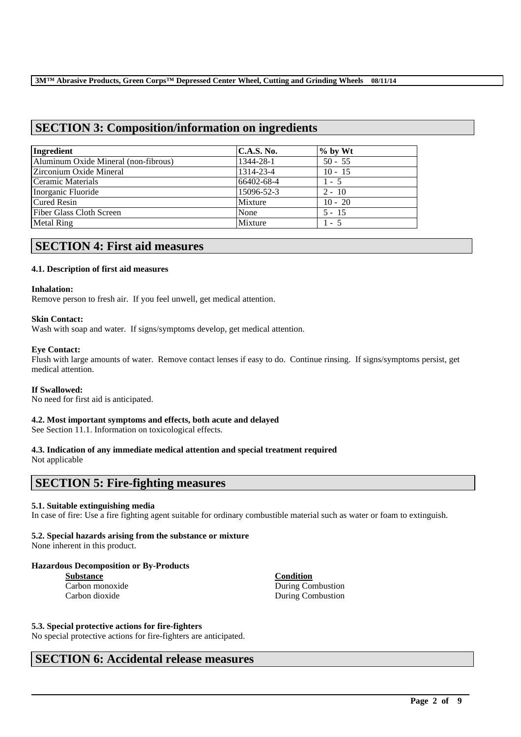# **SECTION 3: Composition/information on ingredients**

| Ingredient                           | <b>C.A.S. No.</b> | $\%$ by Wt |
|--------------------------------------|-------------------|------------|
| Aluminum Oxide Mineral (non-fibrous) | 1344-28-1         | $50 - 55$  |
| <b>Zirconium Oxide Mineral</b>       | 1314-23-4         | $10 - 15$  |
| Ceramic Materials                    | 66402-68-4        | $1 - 5$    |
| Inorganic Fluoride                   | 15096-52-3        | $2 - 10$   |
| <b>Cured Resin</b>                   | Mixture           | $10 - 20$  |
| <b>Fiber Glass Cloth Screen</b>      | None              | $5 - 15$   |
| Metal Ring                           | Mixture           | $1 - 5$    |

## **SECTION 4: First aid measures**

## **4.1. Description of first aid measures**

### **Inhalation:**

Remove person to fresh air. If you feel unwell, get medical attention.

### **Skin Contact:**

Wash with soap and water. If signs/symptoms develop, get medical attention.

### **Eye Contact:**

Flush with large amounts of water. Remove contact lenses if easy to do. Continue rinsing. If signs/symptoms persist, get medical attention.

#### **If Swallowed:**

No need for first aid is anticipated.

## **4.2. Most important symptoms and effects, both acute and delayed**

See Section 11.1. Information on toxicological effects.

## **4.3. Indication of any immediate medical attention and special treatment required**

Not applicable

## **SECTION 5: Fire-fighting measures**

## **5.1. Suitable extinguishing media**

In case of fire: Use a fire fighting agent suitable for ordinary combustible material such as water or foam to extinguish.

\_\_\_\_\_\_\_\_\_\_\_\_\_\_\_\_\_\_\_\_\_\_\_\_\_\_\_\_\_\_\_\_\_\_\_\_\_\_\_\_\_\_\_\_\_\_\_\_\_\_\_\_\_\_\_\_\_\_\_\_\_\_\_\_\_\_\_\_\_\_\_\_\_\_\_\_\_\_\_\_\_\_\_\_\_\_\_\_\_\_

## **5.2. Special hazards arising from the substance or mixture**

None inherent in this product.

## **Hazardous Decomposition or By-Products**

**Substance Condition**

Carbon monoxide During Combustion Carbon dioxide During Combustion

#### **5.3. Special protective actions for fire-fighters**

No special protective actions for fire-fighters are anticipated.

# **SECTION 6: Accidental release measures**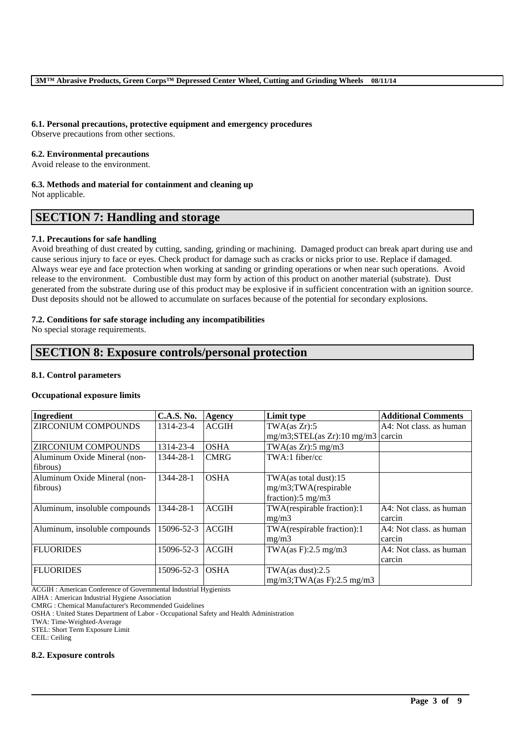## **6.1. Personal precautions, protective equipment and emergency procedures**

Observe precautions from other sections.

### **6.2. Environmental precautions**

Avoid release to the environment.

### **6.3. Methods and material for containment and cleaning up**

Not applicable.

# **SECTION 7: Handling and storage**

## **7.1. Precautions for safe handling**

Avoid breathing of dust created by cutting, sanding, grinding or machining. Damaged product can break apart during use and cause serious injury to face or eyes. Check product for damage such as cracks or nicks prior to use. Replace if damaged. Always wear eye and face protection when working at sanding or grinding operations or when near such operations. Avoid release to the environment. Combustible dust may form by action of this product on another material (substrate). Dust generated from the substrate during use of this product may be explosive if in sufficient concentration with an ignition source. Dust deposits should not be allowed to accumulate on surfaces because of the potential for secondary explosions.

## **7.2. Conditions for safe storage including any incompatibilities**

No special storage requirements.

## **SECTION 8: Exposure controls/personal protection**

#### **8.1. Control parameters**

#### **Occupational exposure limits**

| Ingredient                    | <b>C.A.S. No.</b> | Agency       | Limit type                             | <b>Additional Comments</b> |
|-------------------------------|-------------------|--------------|----------------------------------------|----------------------------|
| <b>ZIRCONIUM COMPOUNDS</b>    | 1314-23-4         | <b>ACGIH</b> | TWA(as Zr):5                           | A4: Not class, as human    |
|                               |                   |              | $mg/m3$ ; STEL(as Zr): 10 mg/m3 carcin |                            |
| <b>ZIRCONIUM COMPOUNDS</b>    | 1314-23-4         | <b>OSHA</b>  | TWA $(as Zr): 5 mg/m3$                 |                            |
| Aluminum Oxide Mineral (non-  | 1344-28-1         | <b>CMRG</b>  | $TWA:1$ fiber/cc                       |                            |
| fibrous)                      |                   |              |                                        |                            |
| Aluminum Oxide Mineral (non-  | 1344-28-1         | <b>OSHA</b>  | $TWA$ (as total dust):15               |                            |
| fibrous)                      |                   |              | mg/m3;TWA(respirable                   |                            |
|                               |                   |              | fraction): $5 \text{ mg/m}$ 3          |                            |
| Aluminum, insoluble compounds | 1344-28-1         | <b>ACGIH</b> | TWA(respirable fraction):1             | A4: Not class. as human    |
|                               |                   |              | mg/m3                                  | carcin                     |
| Aluminum, insoluble compounds | 15096-52-3        | <b>ACGIH</b> | TWA(respirable fraction):1             | A4: Not class, as human    |
|                               |                   |              | mg/m3                                  | carcin                     |
| <b>FLUORIDES</b>              | 15096-52-3        | <b>ACGIH</b> | TWA $(as F): 2.5 mg/m3$                | A4: Not class. as human    |
|                               |                   |              |                                        | carcin                     |
| <b>FLUORIDES</b>              | 15096-52-3        | <b>OSHA</b>  | TWA $(as$ dust $):2.5$                 |                            |
|                               |                   |              | $mg/m3$ ; TWA(as F): 2.5 mg/m3         |                            |

\_\_\_\_\_\_\_\_\_\_\_\_\_\_\_\_\_\_\_\_\_\_\_\_\_\_\_\_\_\_\_\_\_\_\_\_\_\_\_\_\_\_\_\_\_\_\_\_\_\_\_\_\_\_\_\_\_\_\_\_\_\_\_\_\_\_\_\_\_\_\_\_\_\_\_\_\_\_\_\_\_\_\_\_\_\_\_\_\_\_

ACGIH : American Conference of Governmental Industrial Hygienists

AIHA : American Industrial Hygiene Association

CMRG : Chemical Manufacturer's Recommended Guidelines

OSHA : United States Department of Labor - Occupational Safety and Health Administration

TWA: Time-Weighted-Average

STEL: Short Term Exposure Limit

CEIL: Ceiling

#### **8.2. Exposure controls**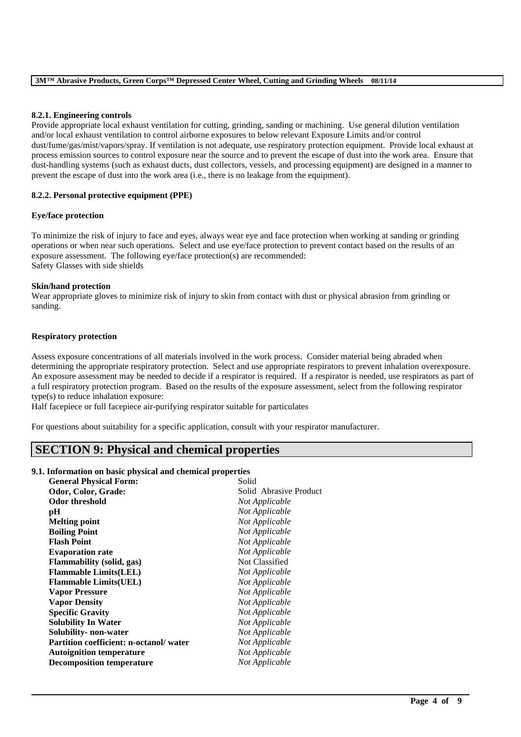### **8.2.1. Engineering controls**

Provide appropriate local exhaust ventilation for cutting, grinding, sanding or machining. Use general dilution ventilation and/or local exhaust ventilation to control airborne exposures to below relevant Exposure Limits and/or control dust/fume/gas/mist/vapors/spray. If ventilation is not adequate, use respiratory protection equipment. Provide local exhaust at process emission sources to control exposure near the source and to prevent the escape of dust into the work area. Ensure that dust-handling systems (such as exhaust ducts, dust collectors, vessels, and processing equipment) are designed in a manner to prevent the escape of dust into the work area (i.e., there is no leakage from the equipment).

### **8.2.2. Personal protective equipment (PPE)**

### **Eye/face protection**

To minimize the risk of injury to face and eyes, always wear eye and face protection when working at sanding or grinding operations or when near such operations. Select and use eye/face protection to prevent contact based on the results of an exposure assessment. The following eye/face protection(s) are recommended: Safety Glasses with side shields

### **Skin/hand protection**

Wear appropriate gloves to minimize risk of injury to skin from contact with dust or physical abrasion from grinding or sanding.

### **Respiratory protection**

Assess exposure concentrations of all materials involved in the work process. Consider material being abraded when determining the appropriate respiratory protection. Select and use appropriate respirators to prevent inhalation overexposure. An exposure assessment may be needed to decide if a respirator is required. If a respirator is needed, use respirators as part of a full respiratory protection program. Based on the results of the exposure assessment, select from the following respirator type(s) to reduce inhalation exposure:

\_\_\_\_\_\_\_\_\_\_\_\_\_\_\_\_\_\_\_\_\_\_\_\_\_\_\_\_\_\_\_\_\_\_\_\_\_\_\_\_\_\_\_\_\_\_\_\_\_\_\_\_\_\_\_\_\_\_\_\_\_\_\_\_\_\_\_\_\_\_\_\_\_\_\_\_\_\_\_\_\_\_\_\_\_\_\_\_\_\_

Half facepiece or full facepiece air-purifying respirator suitable for particulates

For questions about suitability for a specific application, consult with your respirator manufacturer.

# **SECTION 9: Physical and chemical properties**

#### **9.1. Information on basic physical and chemical properties**

| <b>General Physical Form:</b>          | Solid                  |
|----------------------------------------|------------------------|
| Odor, Color, Grade:                    | Solid Abrasive Product |
| <b>Odor threshold</b>                  | Not Applicable         |
| pH                                     | Not Applicable         |
| <b>Melting point</b>                   | Not Applicable         |
| <b>Boiling Point</b>                   | Not Applicable         |
| <b>Flash Point</b>                     | Not Applicable         |
| <b>Evaporation rate</b>                | Not Applicable         |
| <b>Flammability</b> (solid, gas)       | Not Classified         |
| <b>Flammable Limits(LEL)</b>           | Not Applicable         |
| <b>Flammable Limits(UEL)</b>           | Not Applicable         |
| <b>Vapor Pressure</b>                  | Not Applicable         |
| <b>Vapor Density</b>                   | Not Applicable         |
| <b>Specific Gravity</b>                | Not Applicable         |
| <b>Solubility In Water</b>             | Not Applicable         |
| Solubility- non-water                  | Not Applicable         |
| Partition coefficient: n-octanol/water | Not Applicable         |
| <b>Autoignition temperature</b>        | Not Applicable         |
| <b>Decomposition temperature</b>       | Not Applicable         |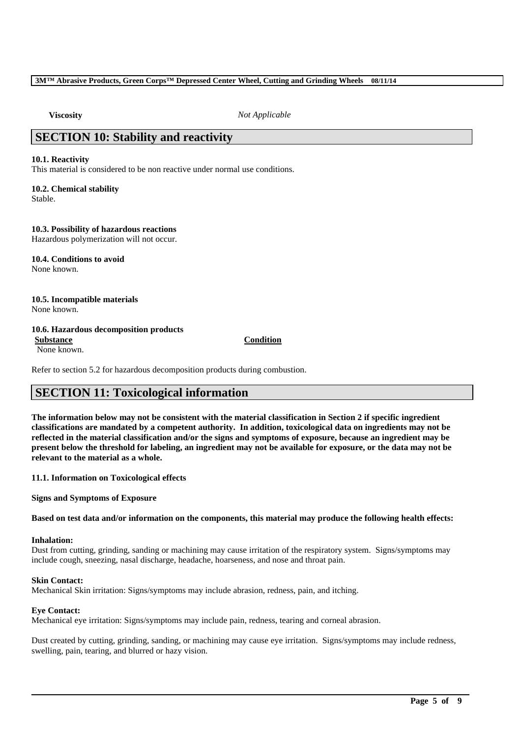**Viscosity** *Not Applicable*

# **SECTION 10: Stability and reactivity**

### **10.1. Reactivity**

This material is considered to be non reactive under normal use conditions.

## **10.2. Chemical stability**

Stable.

## **10.3. Possibility of hazardous reactions**

Hazardous polymerization will not occur.

#### **10.4. Conditions to avoid** None known.

**10.5. Incompatible materials** None known.

## **10.6. Hazardous decomposition products**

None known.

**Substance Condition**

Refer to section 5.2 for hazardous decomposition products during combustion.

# **SECTION 11: Toxicological information**

**The information below may not be consistent with the material classification in Section 2 if specific ingredient classifications are mandated by a competent authority. In addition, toxicological data on ingredients may not be reflected in the material classification and/or the signs and symptoms of exposure, because an ingredient may be present below the threshold for labeling, an ingredient may not be available for exposure, or the data may not be relevant to the material as a whole.**

**11.1. Information on Toxicological effects**

**Signs and Symptoms of Exposure**

**Based on test data and/or information on the components, this material may produce the following health effects:**

## **Inhalation:**

Dust from cutting, grinding, sanding or machining may cause irritation of the respiratory system. Signs/symptoms may include cough, sneezing, nasal discharge, headache, hoarseness, and nose and throat pain.

#### **Skin Contact:**

Mechanical Skin irritation: Signs/symptoms may include abrasion, redness, pain, and itching.

## **Eye Contact:**

Mechanical eye irritation: Signs/symptoms may include pain, redness, tearing and corneal abrasion.

Dust created by cutting, grinding, sanding, or machining may cause eye irritation. Signs/symptoms may include redness, swelling, pain, tearing, and blurred or hazy vision.

\_\_\_\_\_\_\_\_\_\_\_\_\_\_\_\_\_\_\_\_\_\_\_\_\_\_\_\_\_\_\_\_\_\_\_\_\_\_\_\_\_\_\_\_\_\_\_\_\_\_\_\_\_\_\_\_\_\_\_\_\_\_\_\_\_\_\_\_\_\_\_\_\_\_\_\_\_\_\_\_\_\_\_\_\_\_\_\_\_\_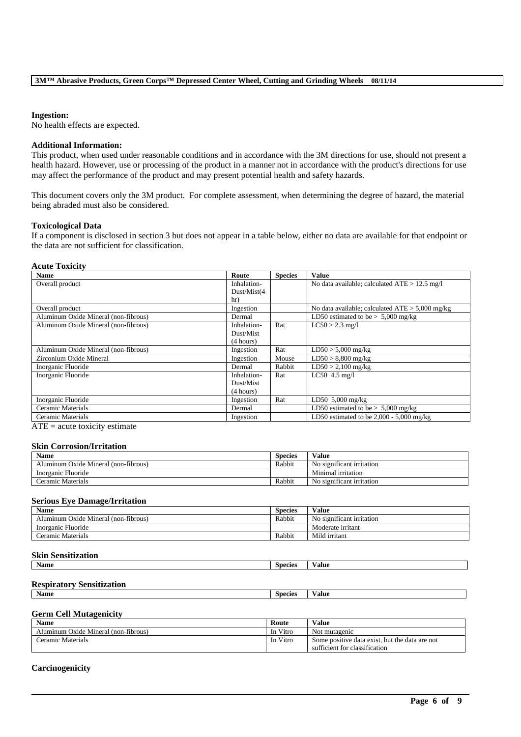#### **Ingestion:**

No health effects are expected.

### **Additional Information:**

This product, when used under reasonable conditions and in accordance with the 3M directions for use, should not present a health hazard. However, use or processing of the product in a manner not in accordance with the product's directions for use may affect the performance of the product and may present potential health and safety hazards.

This document covers only the 3M product. For complete assessment, when determining the degree of hazard, the material being abraded must also be considered.

#### **Toxicological Data**

If a component is disclosed in section 3 but does not appear in a table below, either no data are available for that endpoint or the data are not sufficient for classification.

## **Acute Toxicity**

| <b>Name</b>                          | Route        | <b>Species</b> | <b>Value</b>                                      |
|--------------------------------------|--------------|----------------|---------------------------------------------------|
| Overall product                      | Inhalation-  |                | No data available; calculated $ATE > 12.5$ mg/l   |
|                                      | Dust/Mist(4) |                |                                                   |
|                                      | hr)          |                |                                                   |
| Overall product                      | Ingestion    |                | No data available; calculated $ATE > 5,000$ mg/kg |
| Aluminum Oxide Mineral (non-fibrous) | Dermal       |                | LD50 estimated to be $> 5,000$ mg/kg              |
| Aluminum Oxide Mineral (non-fibrous) | Inhalation-  | Rat            | $LC50 > 2.3$ mg/l                                 |
|                                      | Dust/Mist    |                |                                                   |
|                                      | (4 hours)    |                |                                                   |
| Aluminum Oxide Mineral (non-fibrous) | Ingestion    | Rat            | $LD50 > 5,000$ mg/kg                              |
| Zirconium Oxide Mineral              | Ingestion    | Mouse          | $LD50 > 8,800$ mg/kg                              |
| Inorganic Fluoride                   | Dermal       | Rabbit         | $LD50 > 2,100$ mg/kg                              |
| Inorganic Fluoride                   | Inhalation-  | Rat            | $LC50$ 4.5 mg/l                                   |
|                                      | Dust/Mist    |                |                                                   |
|                                      | (4 hours)    |                |                                                   |
| Inorganic Fluoride                   | Ingestion    | Rat            | LD50 5,000 mg/kg                                  |
| Ceramic Materials                    | Dermal       |                | LD50 estimated to be $> 5,000$ mg/kg              |
| Ceramic Materials                    | Ingestion    |                | LD50 estimated to be $2,000 - 5,000$ mg/kg        |

 $ATE = acute$  toxicity estimate

#### **Skin Corrosion/Irritation**

| <b>Name</b>                          | <b>Species</b> | Value                                 |
|--------------------------------------|----------------|---------------------------------------|
| Aluminum Oxide Mineral (non-fibrous) | Rabbit         | $\cdots$<br>No significant irritation |
| Inorganic Fluoride                   |                | Minimal irritation                    |
| Ceramic Materials                    | Rabbit         | No significant irritation             |

#### **Serious Eye Damage/Irritation**

| $\mathbf{v}$<br><b>Name</b>          | Species | Value                                |
|--------------------------------------|---------|--------------------------------------|
| Aluminum Oxide Mineral (non-fibrous) | Rabbit  | $\cdot$<br>No significant irritation |
| Inorganic Fluoride                   |         | Moderate irritant                    |
| Ceramic Materials                    | Rabbit  | Mild irritant                        |

### **Skin Sensitization**

| <b>Name</b> | Species | ⁄ alue |
|-------------|---------|--------|
|             |         |        |

### **Respiratory Sensitization**

**Name Species Value**

# **Germ Cell Mutagenicity**

| <b>Name</b>                          | Route    | Value                                          |
|--------------------------------------|----------|------------------------------------------------|
| Aluminum Oxide Mineral (non-fibrous) | In Vitro | Not mutagenic                                  |
| Ceramic Materials                    | In Vitro | Some positive data exist, but the data are not |
|                                      |          | sufficient for classification                  |

\_\_\_\_\_\_\_\_\_\_\_\_\_\_\_\_\_\_\_\_\_\_\_\_\_\_\_\_\_\_\_\_\_\_\_\_\_\_\_\_\_\_\_\_\_\_\_\_\_\_\_\_\_\_\_\_\_\_\_\_\_\_\_\_\_\_\_\_\_\_\_\_\_\_\_\_\_\_\_\_\_\_\_\_\_\_\_\_\_\_

## **Carcinogenicity**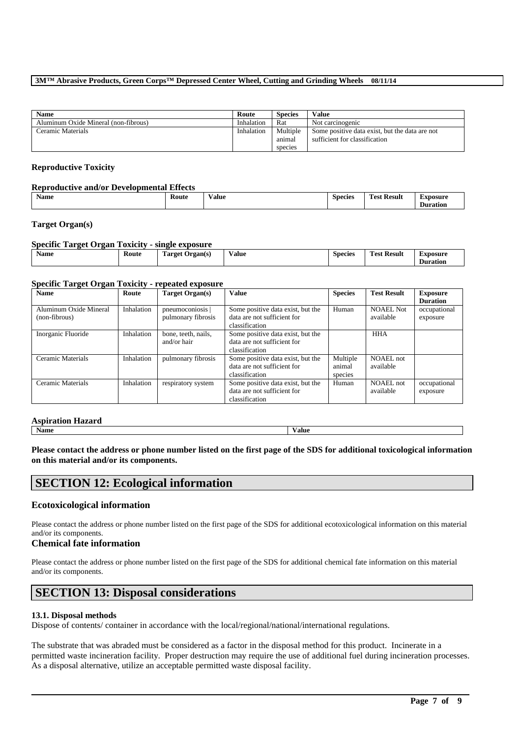| <b>Name</b>                          | Route      | <b>Species</b> | Value                                          |
|--------------------------------------|------------|----------------|------------------------------------------------|
| Aluminum Oxide Mineral (non-fibrous) | Inhalation | Rat            | Not carcinogenic                               |
| Ceramic Materials                    | Inhalation | Multiple       | Some positive data exist, but the data are not |
|                                      |            | animal         | sufficient for classification                  |
|                                      |            | species        |                                                |

### **Reproductive Toxicity**

## **Reproductive and/or Developmental Effects**

| <b>Name</b> | <b>Route</b> | . .<br>Value | Species | m<br><b>Test Result</b> | Exposure        |
|-------------|--------------|--------------|---------|-------------------------|-----------------|
|             |              |              |         |                         | <b>Duration</b> |

## **Target Organ(s)**

| <b>Specific Target Organ Toxicity - single exposure</b> |       |                 |       |                |                    |                             |  |
|---------------------------------------------------------|-------|-----------------|-------|----------------|--------------------|-----------------------------|--|
| <b>Name</b>                                             | Route | Target Organ(s) | Value | <b>Species</b> | <b>Test Result</b> | Exposure<br><b>Duration</b> |  |

## **Specific Target Organ Toxicity - repeated exposure**

| <b>Name</b>                             | Route      | Target Organ(s)                      | <b>Value</b>                                                                       | <b>Species</b>                | <b>Test Result</b>            | <b>Exposure</b><br><b>Duration</b> |
|-----------------------------------------|------------|--------------------------------------|------------------------------------------------------------------------------------|-------------------------------|-------------------------------|------------------------------------|
| Aluminum Oxide Mineral<br>(non-fibrous) | Inhalation | pneumoconiosis<br>pulmonary fibrosis | Some positive data exist, but the<br>data are not sufficient for<br>classification | Human                         | NOAEL Not<br>available        | occupational<br>exposure           |
| Inorganic Fluoride                      | Inhalation | bone, teeth, nails,<br>and/or hair   | Some positive data exist, but the<br>data are not sufficient for<br>classification |                               | <b>HHA</b>                    |                                    |
| Ceramic Materials                       | Inhalation | pulmonary fibrosis                   | Some positive data exist, but the<br>data are not sufficient for<br>classification | Multiple<br>animal<br>species | <b>NOAEL</b> not<br>available |                                    |
| Ceramic Materials                       | Inhalation | respiratory system                   | Some positive data exist, but the<br>data are not sufficient for<br>classification | Human                         | NOAEL not<br>available        | occupational<br>exposure           |

## **Aspiration Hazard**

| ----------------------------- |       |
|-------------------------------|-------|
| Name                          | Value |
|                               |       |

**Please contact the address or phone number listed on the first page of the SDS for additional toxicological information on this material and/or its components.**

## **SECTION 12: Ecological information**

## **Ecotoxicological information**

Please contact the address or phone number listed on the first page of the SDS for additional ecotoxicological information on this material and/or its components.

### **Chemical fate information**

Please contact the address or phone number listed on the first page of the SDS for additional chemical fate information on this material and/or its components.

# **SECTION 13: Disposal considerations**

#### **13.1. Disposal methods**

Dispose of contents/ container in accordance with the local/regional/national/international regulations.

The substrate that was abraded must be considered as a factor in the disposal method for this product. Incinerate in a permitted waste incineration facility. Proper destruction may require the use of additional fuel during incineration processes. As a disposal alternative, utilize an acceptable permitted waste disposal facility.

\_\_\_\_\_\_\_\_\_\_\_\_\_\_\_\_\_\_\_\_\_\_\_\_\_\_\_\_\_\_\_\_\_\_\_\_\_\_\_\_\_\_\_\_\_\_\_\_\_\_\_\_\_\_\_\_\_\_\_\_\_\_\_\_\_\_\_\_\_\_\_\_\_\_\_\_\_\_\_\_\_\_\_\_\_\_\_\_\_\_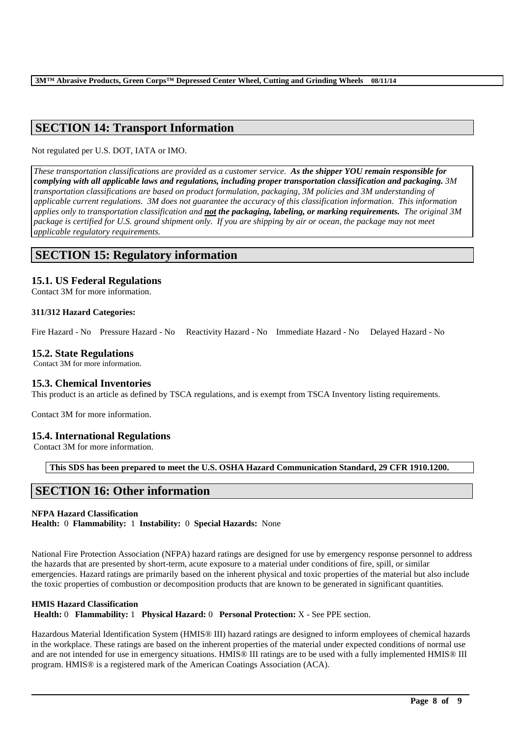# **SECTION 14: Transport Information**

Not regulated per U.S. DOT, IATA or IMO.

*These transportation classifications are provided as a customer service. As the shipper YOU remain responsible for complying with all applicable laws and regulations, including proper transportation classification and packaging. 3M transportation classifications are based on product formulation, packaging, 3M policies and 3M understanding of applicable current regulations. 3M does not guarantee the accuracy of this classification information. This information applies only to transportation classification and not the packaging, labeling, or marking requirements. The original 3M package is certified for U.S. ground shipment only. If you are shipping by air or ocean, the package may not meet applicable regulatory requirements.* 

## **SECTION 15: Regulatory information**

## **15.1. US Federal Regulations**

Contact 3M for more information.

## **311/312 Hazard Categories:**

Fire Hazard - No Pressure Hazard - No Reactivity Hazard - No Immediate Hazard - No Delayed Hazard - No

## **15.2. State Regulations**

Contact 3M for more information.

## **15.3. Chemical Inventories**

This product is an article as defined by TSCA regulations, and is exempt from TSCA Inventory listing requirements.

Contact 3M for more information.

## **15.4. International Regulations**

Contact 3M for more information.

**This SDS has been prepared to meet the U.S. OSHA Hazard Communication Standard, 29 CFR 1910.1200.**

# **SECTION 16: Other information**

## **NFPA Hazard Classification**

**Health:** 0 **Flammability:** 1 **Instability:** 0 **Special Hazards:** None

National Fire Protection Association (NFPA) hazard ratings are designed for use by emergency response personnel to address the hazards that are presented by short-term, acute exposure to a material under conditions of fire, spill, or similar emergencies. Hazard ratings are primarily based on the inherent physical and toxic properties of the material but also include the toxic properties of combustion or decomposition products that are known to be generated in significant quantities.

## **HMIS Hazard Classification**

**Health:** 0 **Flammability:** 1 **Physical Hazard:** 0 **Personal Protection:** X - See PPE section.

Hazardous Material Identification System (HMIS® III) hazard ratings are designed to inform employees of chemical hazards in the workplace. These ratings are based on the inherent properties of the material under expected conditions of normal use and are not intended for use in emergency situations. HMIS® III ratings are to be used with a fully implemented HMIS® III program. HMIS® is a registered mark of the American Coatings Association (ACA).

\_\_\_\_\_\_\_\_\_\_\_\_\_\_\_\_\_\_\_\_\_\_\_\_\_\_\_\_\_\_\_\_\_\_\_\_\_\_\_\_\_\_\_\_\_\_\_\_\_\_\_\_\_\_\_\_\_\_\_\_\_\_\_\_\_\_\_\_\_\_\_\_\_\_\_\_\_\_\_\_\_\_\_\_\_\_\_\_\_\_